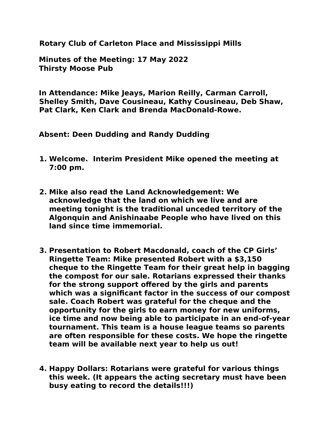**Rotary Club of Carleton Place and Mississippi Mills** 

**Minutes of the Meeting: 17 May 2022 Thirsty Moose Pub**

**In Attendance: Mike Jeays, Marion Reilly, Carman Carroll, Shelley Smith, Dave Cousineau, Kathy Cousineau, Deb Shaw, Pat Clark, Ken Clark and Brenda MacDonald-Rowe.**

**Absent: Deen Dudding and Randy Dudding** 

- **1. Welcome. Interim President Mike opened the meeting at 7:00 pm.**
- **2. Mike also read the Land Acknowledgement: We acknowledge that the land on which we live and are meeting tonight is the traditional unceded territory of the Algonquin and Anishinaabe People who have lived on this land since time immemorial.**
- **3. Presentation to Robert Macdonald, coach of the CP Girls' Ringette Team: Mike presented Robert with a \$3,150 cheque to the Ringette Team for their great help in bagging the compost for our sale. Rotarians expressed their thanks for the strong support offered by the girls and parents which was a significant factor in the success of our compost sale. Coach Robert was grateful for the cheque and the opportunity for the girls to earn money for new uniforms, ice time and now being able to participate in an end-of-year tournament. This team is a house league teams so parents are often responsible for these costs. We hope the ringette team will be available next year to help us out!**
- **4. Happy Dollars: Rotarians were grateful for various things this week. (It appears the acting secretary must have been busy eating to record the details!!!)**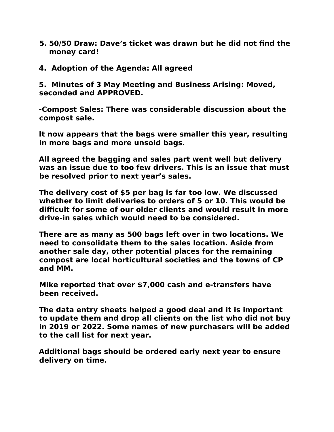- **5. 50/50 Draw: Dave's ticket was drawn but he did not find the money card!**
- **4. Adoption of the Agenda: All agreed**

**5. Minutes of 3 May Meeting and Business Arising: Moved, seconded and APPROVED.** 

**-Compost Sales: There was considerable discussion about the compost sale.** 

**It now appears that the bags were smaller this year, resulting in more bags and more unsold bags.** 

**All agreed the bagging and sales part went well but delivery was an issue due to too few drivers. This is an issue that must be resolved prior to next year's sales.** 

**The delivery cost of \$5 per bag is far too low. We discussed whether to limit deliveries to orders of 5 or 10. This would be difficult for some of our older clients and would result in more drive-in sales which would need to be considered.** 

**There are as many as 500 bags left over in two locations. We need to consolidate them to the sales location. Aside from another sale day, other potential places for the remaining compost are local horticultural societies and the towns of CP and MM.**

**Mike reported that over \$7,000 cash and e-transfers have been received.** 

**The data entry sheets helped a good deal and it is important to update them and drop all clients on the list who did not buy in 2019 or 2022. Some names of new purchasers will be added to the call list for next year.** 

**Additional bags should be ordered early next year to ensure delivery on time.**